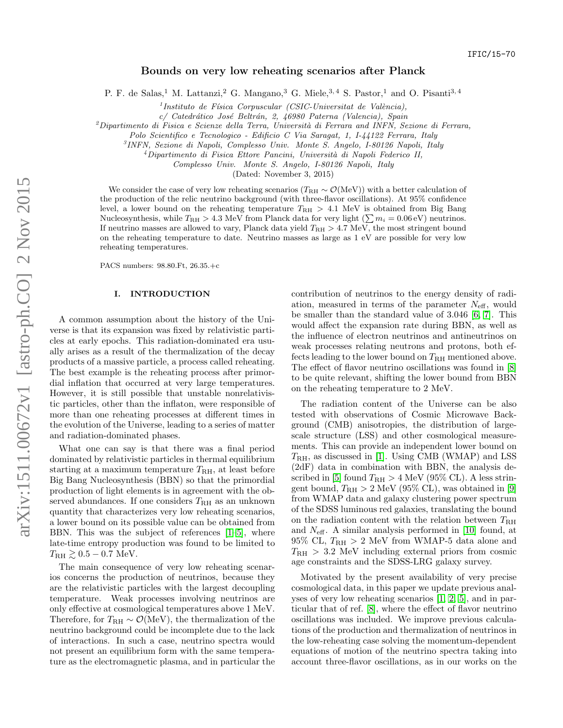# Bounds on very low reheating scenarios after Planck

P. F. de Salas,<sup>1</sup> M. Lattanzi,<sup>2</sup> G. Mangano,<sup>3</sup> G. Miele,<sup>3,4</sup> S. Pastor,<sup>1</sup> and O. Pisanti<sup>3,4</sup>

 $<sup>1</sup>$ Instituto de Física Corpuscular (CSIC-Universitat de València),</sup>

c/ Catedrático José Beltrán, 2, 46980 Paterna (Valencia), Spain

 $^{2}$ Dipartimento di Fisica e Scienze della Terra, Università di Ferrara and INFN, Sezione di Ferrara,

Polo Scientifico e Tecnologico - Edificio C Via Saragat, 1, I-44122 Ferrara, Italy

3 INFN, Sezione di Napoli, Complesso Univ. Monte S. Angelo, I-80126 Napoli, Italy

 $^{4}$ Dipartimento di Fisica Ettore Pancini, Università di Napoli Federico II,

Complesso Univ. Monte S. Angelo, I-80126 Napoli, Italy

(Dated: November 3, 2015)

We consider the case of very low reheating scenarios ( $T_{\rm RH} \sim \mathcal{O}(\rm MeV)$ ) with a better calculation of the production of the relic neutrino background (with three-flavor oscillations). At 95% confidence level, a lower bound on the reheating temperature  $T_{\text{RH}} > 4.1$  MeV is obtained from Big Bang Nucleosynthesis, while  $T_{\rm RH} > 4.3 \text{ MeV}$  from Planck data for very light  $(\sum m_i = 0.06 \text{ eV})$  neutrinos. If neutrino masses are allowed to vary, Planck data yield  $T_{\rm RH} > 4.7$  MeV, the most stringent bound on the reheating temperature to date. Neutrino masses as large as 1 eV are possible for very low reheating temperatures.

PACS numbers: 98.80.Ft, 26.35.+c

### I. INTRODUCTION

A common assumption about the history of the Universe is that its expansion was fixed by relativistic particles at early epochs. This radiation-dominated era usually arises as a result of the thermalization of the decay products of a massive particle, a process called reheating. The best example is the reheating process after primordial inflation that occurred at very large temperatures. However, it is still possible that unstable nonrelativistic particles, other than the inflaton, were responsible of more than one reheating processes at different times in the evolution of the Universe, leading to a series of matter and radiation-dominated phases.

What one can say is that there was a final period dominated by relativistic particles in thermal equilibrium starting at a maximum temperature  $T_{\rm RH}$ , at least before Big Bang Nucleosynthesis (BBN) so that the primordial production of light elements is in agreement with the observed abundances. If one considers  $T_{\rm RH}$  as an unknown quantity that characterizes very low reheating scenarios, a lower bound on its possible value can be obtained from BBN. This was the subject of references [\[1–](#page-7-0)[5\]](#page-7-1), where late-time entropy production was found to be limited to  $T_{\rm RH} \gtrsim 0.5 - 0.7$  MeV.

The main consequence of very low reheating scenarios concerns the production of neutrinos, because they are the relativistic particles with the largest decoupling temperature. Weak processes involving neutrinos are only effective at cosmological temperatures above 1 MeV. Therefore, for  $T_{\rm RH} \sim \mathcal{O}(\rm MeV)$ , the thermalization of the neutrino background could be incomplete due to the lack of interactions. In such a case, neutrino spectra would not present an equilibrium form with the same temperature as the electromagnetic plasma, and in particular the

contribution of neutrinos to the energy density of radiation, measured in terms of the parameter  $N_{\text{eff}}$ , would be smaller than the standard value of 3.046 [\[6,](#page-7-2) [7\]](#page-7-3). This would affect the expansion rate during BBN, as well as the influence of electron neutrinos and antineutrinos on weak processes relating neutrons and protons, both effects leading to the lower bound on  $T_{\rm RH}$  mentioned above. The effect of flavor neutrino oscillations was found in [\[8\]](#page-7-4) to be quite relevant, shifting the lower bound from BBN on the reheating temperature to 2 MeV.

The radiation content of the Universe can be also tested with observations of Cosmic Microwave Background (CMB) anisotropies, the distribution of largescale structure (LSS) and other cosmological measurements. This can provide an independent lower bound on  $T_{\rm RH}$ , as discussed in [\[1\]](#page-7-0). Using CMB (WMAP) and LSS (2dF) data in combination with BBN, the analysis de-scribed in [\[5\]](#page-7-1) found  $T_{\rm RH} > 4$  MeV (95% CL). A less stringent bound,  $T_{\rm RH} > 2$  MeV (95% CL), was obtained in [\[9\]](#page-7-5) from WMAP data and galaxy clustering power spectrum of the SDSS luminous red galaxies, translating the bound on the radiation content with the relation between  $T_{\rm RH}$ and  $N_{\text{eff}}$ . A similar analysis performed in [\[10\]](#page-7-6) found, at  $95\%$  CL,  $T_{\text{RH}} > 2$  MeV from WMAP-5 data alone and  $T_{\rm RH}$  > 3.2 MeV including external priors from cosmic age constraints and the SDSS-LRG galaxy survey.

Motivated by the present availability of very precise cosmological data, in this paper we update previous analyses of very low reheating scenarios [\[1,](#page-7-0) [2,](#page-7-7) [5\]](#page-7-1), and in particular that of ref. [\[8\]](#page-7-4), where the effect of flavor neutrino oscillations was included. We improve previous calculations of the production and thermalization of neutrinos in the low-reheating case solving the momentum-dependent equations of motion of the neutrino spectra taking into account three-flavor oscillations, as in our works on the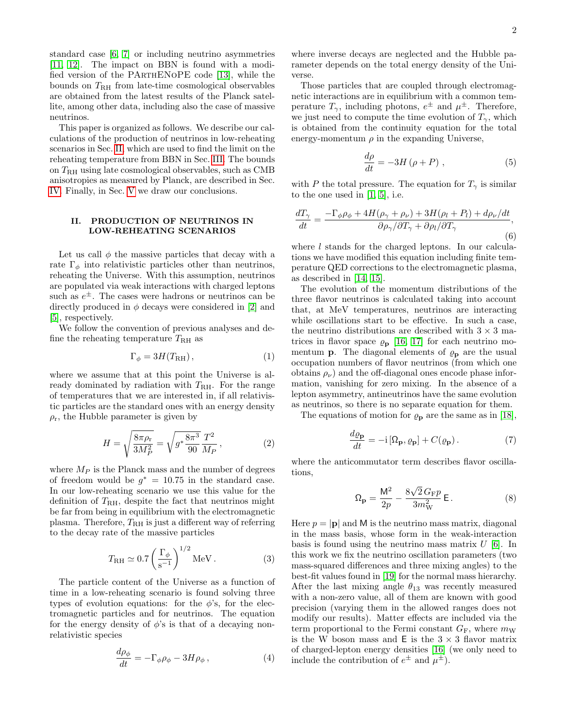standard case [\[6,](#page-7-2) [7\]](#page-7-3) or including neutrino asymmetries [\[11,](#page-7-8) [12\]](#page-7-9). The impact on BBN is found with a modified version of the PArthENoPE code [\[13\]](#page-7-10), while the bounds on  $T_{\rm RH}$  from late-time cosmological observables are obtained from the latest results of the Planck satellite, among other data, including also the case of massive neutrinos.

This paper is organized as follows. We describe our calculations of the production of neutrinos in low-reheating scenarios in Sec. [II,](#page-1-0) which are used to find the limit on the reheating temperature from BBN in Sec. [III.](#page-3-0) The bounds on TRH using late cosmological observables, such as CMB anisotropies as measured by Planck, are described in Sec. [IV.](#page-5-0) Finally, in Sec. [V](#page-6-0) we draw our conclusions.

## <span id="page-1-0"></span>II. PRODUCTION OF NEUTRINOS IN LOW-REHEATING SCENARIOS

Let us call  $\phi$  the massive particles that decay with a rate  $\Gamma_{\phi}$  into relativistic particles other than neutrinos, reheating the Universe. With this assumption, neutrinos are populated via weak interactions with charged leptons such as  $e^{\pm}$ . The cases were hadrons or neutrinos can be directly produced in  $\phi$  decays were considered in [\[2\]](#page-7-7) and [\[5\]](#page-7-1), respectively.

We follow the convention of previous analyses and define the reheating temperature  $T_{\rm RH}$  as

$$
\Gamma_{\phi} = 3H(T_{\rm RH}),\tag{1}
$$

where we assume that at this point the Universe is already dominated by radiation with  $T_{\rm RH}$ . For the range of temperatures that we are interested in, if all relativistic particles are the standard ones with an energy density  $\rho_r$ , the Hubble parameter is given by

$$
H = \sqrt{\frac{8\pi\rho_r}{3M_P^2}} = \sqrt{g^* \frac{8\pi^3}{90} \frac{T^2}{M_P}},
$$
 (2)

where  $M_P$  is the Planck mass and the number of degrees of freedom would be  $g^* = 10.75$  in the standard case. In our low-reheating scenario we use this value for the definition of  $T_{\rm RH}$ , despite the fact that neutrinos might be far from being in equilibrium with the electromagnetic plasma. Therefore,  $T_{\rm RH}$  is just a different way of referring to the decay rate of the massive particles

$$
T_{\rm RH} \simeq 0.7 \left(\frac{\Gamma_{\phi}}{\rm s^{-1}}\right)^{1/2} \text{MeV} \,. \tag{3}
$$

The particle content of the Universe as a function of time in a low-reheating scenario is found solving three types of evolution equations: for the  $\phi$ 's, for the electromagnetic particles and for neutrinos. The equation for the energy density of  $\phi$ 's is that of a decaying nonrelativistic species

$$
\frac{d\rho_{\phi}}{dt} = -\Gamma_{\phi}\rho_{\phi} - 3H\rho_{\phi} , \qquad (4)
$$

where inverse decays are neglected and the Hubble parameter depends on the total energy density of the Universe.

Those particles that are coupled through electromagnetic interactions are in equilibrium with a common temperature  $T_{\gamma}$ , including photons,  $e^{\pm}$  and  $\mu^{\pm}$ . Therefore, we just need to compute the time evolution of  $T_{\gamma}$ , which is obtained from the continuity equation for the total energy-momentum  $\rho$  in the expanding Universe,

<span id="page-1-2"></span>
$$
\frac{d\rho}{dt} = -3H\left(\rho + P\right),\tag{5}
$$

with P the total pressure. The equation for  $T_{\gamma}$  is similar to the one used in  $[1, 5]$  $[1, 5]$ , i.e.

$$
\frac{dT_{\gamma}}{dt} = \frac{-\Gamma_{\phi}\rho_{\phi} + 4H(\rho_{\gamma} + \rho_{\nu}) + 3H(\rho_{l} + P_{l}) + d\rho_{\nu}/dt}{\partial\rho_{\gamma}/\partial T_{\gamma} + \partial\rho_{l}/\partial T_{\gamma}},
$$
\n(6)

where *l* stands for the charged leptons. In our calculations we have modified this equation including finite temperature QED corrections to the electromagnetic plasma, as described in [\[14,](#page-7-11) [15\]](#page-7-12).

The evolution of the momentum distributions of the three flavor neutrinos is calculated taking into account that, at MeV temperatures, neutrinos are interacting while oscillations start to be effective. In such a case, the neutrino distributions are described with  $3\times3$  matrices in flavor space  $\rho_{\mathbf{p}}$  [\[16,](#page-7-13) [17\]](#page-7-14) for each neutrino momentum **p**. The diagonal elements of  $\rho_{\mathbf{p}}$  are the usual occupation numbers of flavor neutrinos (from which one obtains  $\rho_{\nu}$ ) and the off-diagonal ones encode phase information, vanishing for zero mixing. In the absence of a lepton asymmetry, antineutrinos have the same evolution as neutrinos, so there is no separate equation for them.

The equations of motion for  $\rho_{\mathbf{p}}$  are the same as in [\[18\]](#page-7-15),

<span id="page-1-1"></span>
$$
\frac{d\varrho_{\mathbf{p}}}{dt} = -\mathrm{i} \left[ \Omega_{\mathbf{p}}, \varrho_{\mathbf{p}} \right] + C(\varrho_{\mathbf{p}}). \tag{7}
$$

where the anticommutator term describes flavor oscillations,

$$
\Omega_{\mathbf{p}} = \frac{\mathsf{M}^2}{2p} - \frac{8\sqrt{2} \, G_{\mathrm{F}} p}{3m_{\mathrm{W}}^2} \, \mathsf{E} \,. \tag{8}
$$

Here  $p = |\mathbf{p}|$  and M is the neutrino mass matrix, diagonal in the mass basis, whose form in the weak-interaction basis is found using the neutrino mass matrix  $U$  [\[6\]](#page-7-2). In this work we fix the neutrino oscillation parameters (two mass-squared differences and three mixing angles) to the best-fit values found in [\[19\]](#page-7-16) for the normal mass hierarchy. After the last mixing angle  $\theta_{13}$  was recently measured with a non-zero value, all of them are known with good precision (varying them in the allowed ranges does not modify our results). Matter effects are included via the term proportional to the Fermi constant  $G_F$ , where  $m_W$ is the W boson mass and  $E$  is the  $3 \times 3$  flavor matrix of charged-lepton energy densities [\[16\]](#page-7-13) (we only need to include the contribution of  $e^{\pm}$  and  $\mu^{\pm}$ ).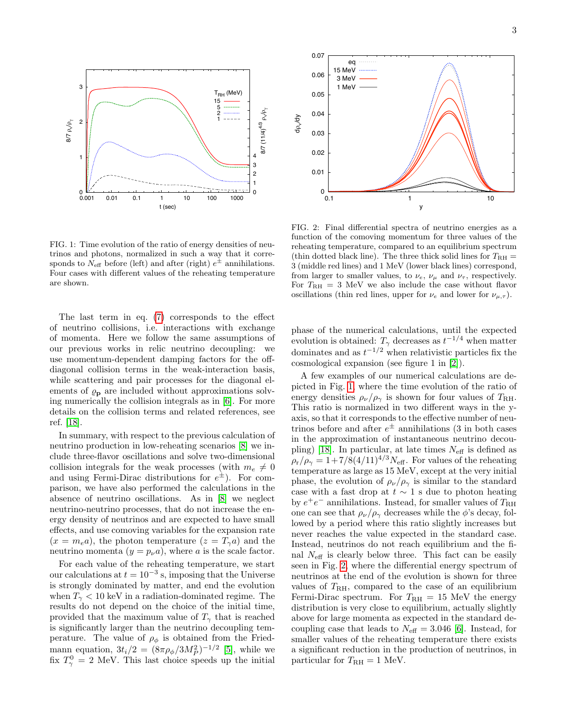

<span id="page-2-0"></span>FIG. 1: Time evolution of the ratio of energy densities of neutrinos and photons, normalized in such a way that it corresponds to  $N_{\text{eff}}$  before (left) and after (right)  $e^{\pm}$  annihilations. Four cases with different values of the reheating temperature are shown.

The last term in eq. [\(7\)](#page-1-1) corresponds to the effect of neutrino collisions, i.e. interactions with exchange of momenta. Here we follow the same assumptions of our previous works in relic neutrino decoupling: we use momentum-dependent damping factors for the offdiagonal collision terms in the weak-interaction basis, while scattering and pair processes for the diagonal elements of  $\varrho_{\rm p}$  are included without approximations solving numerically the collision integrals as in [\[6\]](#page-7-2). For more details on the collision terms and related references, see ref. [\[18\]](#page-7-15).

In summary, with respect to the previous calculation of neutrino production in low-reheating scenarios [\[8\]](#page-7-4) we include three-flavor oscillations and solve two-dimensional collision integrals for the weak processes (with  $m_e \neq 0$ and using Fermi-Dirac distributions for  $e^{\pm}$ ). For comparison, we have also performed the calculations in the absence of neutrino oscillations. As in [\[8\]](#page-7-4) we neglect neutrino-neutrino processes, that do not increase the energy density of neutrinos and are expected to have small effects, and use comoving variables for the expansion rate  $(x = m_e a)$ , the photon temperature  $(z = T_\gamma a)$  and the neutrino momenta  $(y = p_{\nu} a)$ , where a is the scale factor.

For each value of the reheating temperature, we start our calculations at  $t = 10^{-3}$  s, imposing that the Universe is strongly dominated by matter, and end the evolution when  $T_{\gamma}$  < 10 keV in a radiation-dominated regime. The results do not depend on the choice of the initial time, provided that the maximum value of  $T_{\gamma}$  that is reached is significantly larger than the neutrino decoupling temperature. The value of  $\rho_{\phi}$  is obtained from the Friedmann equation,  $3t_i/2 = (8\pi \rho_{\phi}/3M_P^2)^{-1/2}$  [\[5\]](#page-7-1), while we fix  $T_{\gamma}^0 = 2$  MeV. This last choice speeds up the initial



<span id="page-2-1"></span>FIG. 2: Final differential spectra of neutrino energies as a function of the comoving momentum for three values of the reheating temperature, compared to an equilibrium spectrum (thin dotted black line). The three thick solid lines for  $T_{\rm RH} =$ 3 (middle red lines) and 1 MeV (lower black lines) correspond, from larger to smaller values, to  $\nu_e$ ,  $\nu_\mu$  and  $\nu_\tau$ , respectively. For  $T_{\text{RH}} = 3$  MeV we also include the case without flavor oscillations (thin red lines, upper for  $\nu_e$  and lower for  $\nu_{\mu,\tau}$ ).

phase of the numerical calculations, until the expected evolution is obtained:  $T_{\gamma}$  decreases as  $t^{-1/4}$  when matter dominates and as  $t^{-1/2}$  when relativistic particles fix the cosmological expansion (see figure 1 in [\[2\]](#page-7-7)).

A few examples of our numerical calculations are depicted in Fig. [1,](#page-2-0) where the time evolution of the ratio of energy densities  $\rho_{\nu}/\rho_{\gamma}$  is shown for four values of  $T_{\rm RH}$ . This ratio is normalized in two different ways in the yaxis, so that it corresponds to the effective number of neutrinos before and after  $e^{\pm}$  annihilations (3 in both cases in the approximation of instantaneous neutrino decou-pling) [\[18\]](#page-7-15). In particular, at late times  $N_{\text{eff}}$  is defined as  $\rho_r/\rho_\gamma = 1+7/8(4/11)^{4/3}N_{\text{eff}}$ . For values of the reheating temperature as large as 15 MeV, except at the very initial phase, the evolution of  $\rho_{\nu}/\rho_{\gamma}$  is similar to the standard case with a fast drop at  $t \sim 1$  s due to photon heating by  $e^+e^-$  annihilations. Instead, for smaller values of  $T_{\rm RH}$ one can see that  $\rho_{\nu}/\rho_{\gamma}$  decreases while the  $\phi$ 's decay, followed by a period where this ratio slightly increases but never reaches the value expected in the standard case. Instead, neutrinos do not reach equilibrium and the final  $N_{\text{eff}}$  is clearly below three. This fact can be easily seen in Fig. [2,](#page-2-1) where the differential energy spectrum of neutrinos at the end of the evolution is shown for three values of  $T_{\rm RH}$ , compared to the case of an equilibrium Fermi-Dirac spectrum. For  $T_{\rm RH} = 15$  MeV the energy distribution is very close to equilibrium, actually slightly above for large momenta as expected in the standard decoupling case that leads to  $N_{\text{eff}} = 3.046$  [\[6\]](#page-7-2). Instead, for smaller values of the reheating temperature there exists a significant reduction in the production of neutrinos, in particular for  $T_{\rm RH}=1$  MeV.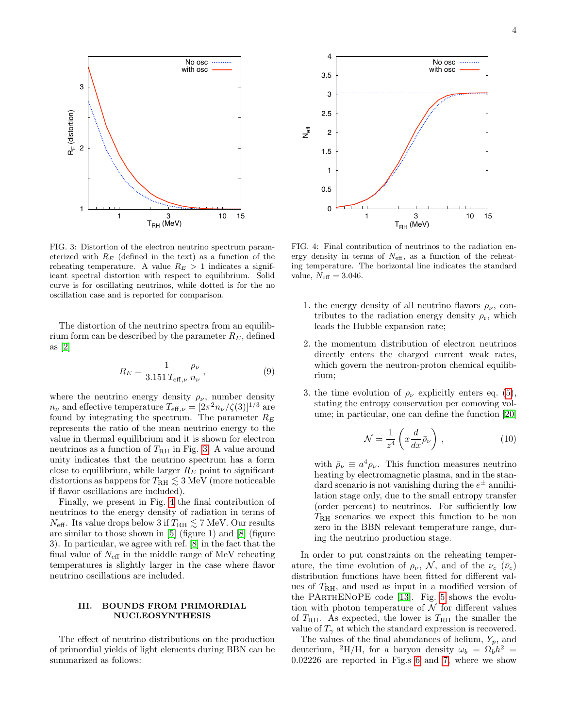

<span id="page-3-1"></span>FIG. 3: Distortion of the electron neutrino spectrum parameterized with  $R_E$  (defined in the text) as a function of the reheating temperature. A value  $R_E > 1$  indicates a significant spectral distortion with respect to equilibrium. Solid curve is for oscillating neutrinos, while dotted is for the no oscillation case and is reported for comparison.

The distortion of the neutrino spectra from an equilibrium form can be described by the parameter  $R_E$ , defined as [\[2\]](#page-7-7)

$$
R_E = \frac{1}{3.151 \, T_{\text{eff},\nu}} \frac{\rho_{\nu}}{n_{\nu}},\tag{9}
$$

where the neutrino energy density  $\rho_{\nu}$ , number density  $n_{\nu}$  and effective temperature  $T_{\text{eff},\nu} = [2\pi^2 n_{\nu}/\zeta(3)]^{1/3}$  are found by integrating the spectrum. The parameter  $R_E$ represents the ratio of the mean neutrino energy to the value in thermal equilibrium and it is shown for electron neutrinos as a function of  $T_{\rm RH}$  in Fig. [3.](#page-3-1) A value around unity indicates that the neutrino spectrum has a form close to equilibrium, while larger  $R_E$  point to significant distortions as happens for  $T_{\rm RH}\lesssim 3\,{\rm MeV}$  (more noticeable if flavor oscillations are included).

Finally, we present in Fig. [4](#page-3-2) the final contribution of neutrinos to the energy density of radiation in terms of  $N_{\text{eff}}$ . Its value drops below 3 if  $T_{\text{RH}} \lesssim 7 \text{ MeV}$ . Our results are similar to those shown in [\[5\]](#page-7-1) (figure 1) and [\[8\]](#page-7-4) (figure 3). In particular, we agree with ref. [\[8\]](#page-7-4) in the fact that the final value of  $N_{\text{eff}}$  in the middle range of MeV reheating temperatures is slightly larger in the case where flavor neutrino oscillations are included.

### <span id="page-3-0"></span>III. BOUNDS FROM PRIMORDIAL NUCLEOSYNTHESIS

The effect of neutrino distributions on the production of primordial yields of light elements during BBN can be summarized as follows:



<span id="page-3-2"></span>FIG. 4: Final contribution of neutrinos to the radiation energy density in terms of  $N_{\text{eff}}$ , as a function of the reheating temperature. The horizontal line indicates the standard value,  $N_{\text{eff}} = 3.046$ .

- 1. the energy density of all neutrino flavors  $\rho_{\nu}$ , contributes to the radiation energy density  $\rho_r$ , which leads the Hubble expansion rate;
- 2. the momentum distribution of electron neutrinos directly enters the charged current weak rates, which govern the neutron-proton chemical equilibrium;
- 3. the time evolution of  $\rho_{\nu}$  explicitly enters eq. [\(5\)](#page-1-2), stating the entropy conservation per comoving volume; in particular, one can define the function [\[20\]](#page-7-17)

<span id="page-3-3"></span>
$$
\mathcal{N} = \frac{1}{z^4} \left( x \frac{d}{dx} \bar{\rho}_\nu \right),\tag{10}
$$

with  $\bar{\rho}_{\nu} \equiv a^4 \rho_{\nu}$ . This function measures neutrino heating by electromagnetic plasma, and in the standard scenario is not vanishing during the  $e^{\pm}$  annihilation stage only, due to the small entropy transfer (order percent) to neutrinos. For sufficiently low  $T_{\rm RH}$  scenarios we expect this function to be non zero in the BBN relevant temperature range, during the neutrino production stage.

In order to put constraints on the reheating temperature, the time evolution of  $\rho_{\nu}$ , N, and of the  $\nu_e$  ( $\bar{\nu}_e$ ) distribution functions have been fitted for different values of  $T<sub>RH</sub>$ , and used as input in a modified version of the PArthENoPE code [\[13\]](#page-7-10). Fig. [5](#page-4-0) shows the evolution with photon temperature of  $\mathcal N$  for different values of  $T_{\rm RH}$ . As expected, the lower is  $T_{\rm RH}$  the smaller the value of  $T_{\gamma}$  at which the standard expression is recovered.

The values of the final abundances of helium,  $Y_p$ , and deuterium, <sup>2</sup>H/H, for a baryon density  $\omega_b = \Omega_b h^2 =$ 0.02226 are reported in Fig.s [6](#page-4-1) and [7,](#page-4-2) where we show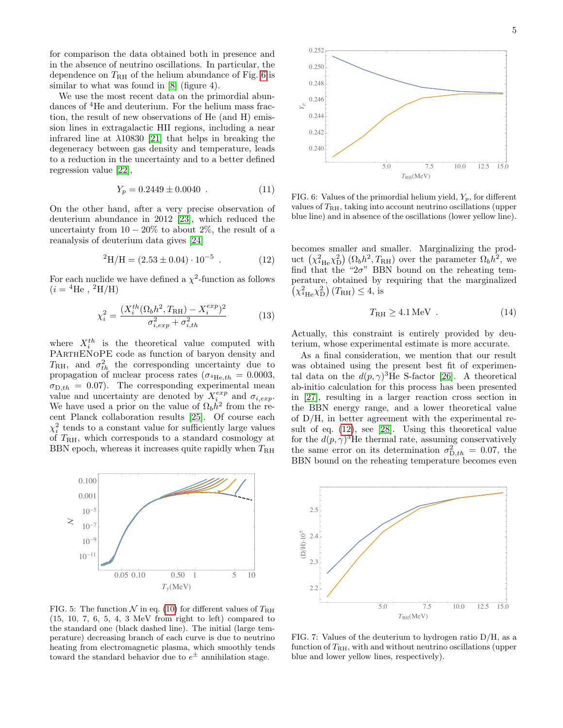for comparison the data obtained both in presence and in the absence of neutrino oscillations. In particular, the dependence on  $T_{\rm RH}$  of the helium abundance of Fig. 6 is similar to what was found in  $[8]$  (figure 4).

We use the most recent data on the primordial abundances of <sup>4</sup>He and deuterium. For the helium mass fraction, the result of new observations of He (and H) emission lines in extragalactic HII regions, including a near infrared line at  $\lambda$ 10830 [21] that helps in breaking the degeneracy between gas density and temperature, leads to a reduction in the uncertainty and to a better defined regression value  $[22]$ ,

$$
Y_p = 0.2449 \pm 0.0040 \tag{11}
$$

On the other hand, after a very precise observation of deuterium abundance in 2012 [23], which reduced the uncertainty from  $10-20\%$  to about 2\%, the result of a reanalysis of deuterium data gives [24]

<span id="page-4-3"></span>
$$
{}^{2}\text{H/H} = (2.53 \pm 0.04) \cdot 10^{-5} \tag{12}
$$

For each nuclide we have defined a  $\chi^2$ -function as follows  $(i = {}^{4}\text{He}$ ,  ${}^{2}\text{H/H}$ 

$$
\chi_i^2 = \frac{(X_i^{th}(\Omega_b h^2, T_{\rm RH}) - X_i^{exp})^2}{\sigma_{i,exp}^2 + \sigma_{i,th}^2} \tag{13}
$$

where  $X_i^{th}$  is the theoretical value computed with PARTHENOPE code as function of baryon density and  $T_{\rm RH}$ , and  $\sigma_{th}^2$  the corresponding uncertainty due to propagation of nuclear process rates ( $\sigma_{^4\text{He},th} = 0.0003$ ,  $\sigma_{\text{D},th} = 0.07$ ). The corresponding experimental mean<br>value and uncertainty are denoted by  $X_i^{exp}$  and  $\sigma_{i,exp}$ .<br>We have used a prior on the value of  $\Omega_b h^2$  from the recent Planck collaboration results [25]. Of course each  $\chi_i^2$  tends to a constant value for sufficiently large values of  $T_{\rm RH}$ , which corresponds to a standard cosmology at BBN epoch, whereas it increases quite rapidly when  $T_{\rm RH}$ 



<span id="page-4-0"></span>FIG. 5: The function  $\mathcal N$  in eq. (10) for different values of  $T_{\rm RH}$  $(15, 10, 7, 6, 5, 4, 3 \text{ MeV}$  from right to left) compared to the standard one (black dashed line). The initial (large temperature) decreasing branch of each curve is due to neutrino heating from electromagnetic plasma, which smoothly tends toward the standard behavior due to  $e^\pm$  annihilation stage.



<span id="page-4-1"></span>FIG. 6: Values of the primordial helium yield,  $Y_p$ , for different values of  $T_{\rm RH}$ , taking into account neutrino oscillations (upper blue line) and in absence of the oscillations (lower yellow line).

becomes smaller and smaller. Marginalizing the product  $(\chi^2_{^4\text{He}}\chi^2_{\text{D}})\,(\Omega_b h^2, T_{\text{RH}})$  over the parameter  $\Omega_b h^2$ , we find that the " $2\sigma$ " BBN bound on the reheating temperature, obtained by requiring that the marginalized  $(\chi^2_{\rm ^4He} \chi^2_{\rm D})$   $(T_{\rm RH}) \leq 4$ , is

$$
T_{\rm RH} \ge 4.1 \,\text{MeV} \tag{14}
$$

Actually, this constraint is entirely provided by deuterium, whose experimental estimate is more accurate.

As a final consideration, we mention that our result was obtained using the present best fit of experimental data on the  $d(p,\gamma)^3$ He S-factor [26]. A theoretical ab-initio calculation for this process has been presented in  $[27]$ , resulting in a larger reaction cross section in the BBN energy range, and a lower theoretical value of  $D/H$ , in better agreement with the experimental result of eq.  $(12)$ , see [28]. Using this theoretical value for the  $d(p,\gamma)^3$ He thermal rate, assuming conservatively the same error on its determination  $\sigma_{D,th}^2 = 0.07$ , the BBN bound on the reheating temperature becomes even

![](_page_4_Figure_16.jpeg)

<span id="page-4-2"></span>FIG. 7: Values of the deuterium to hydrogen ratio  $D/H$ , as a function of  $T_{\rm RH}$ , with and without neutrino oscillations (upper blue and lower yellow lines, respectively).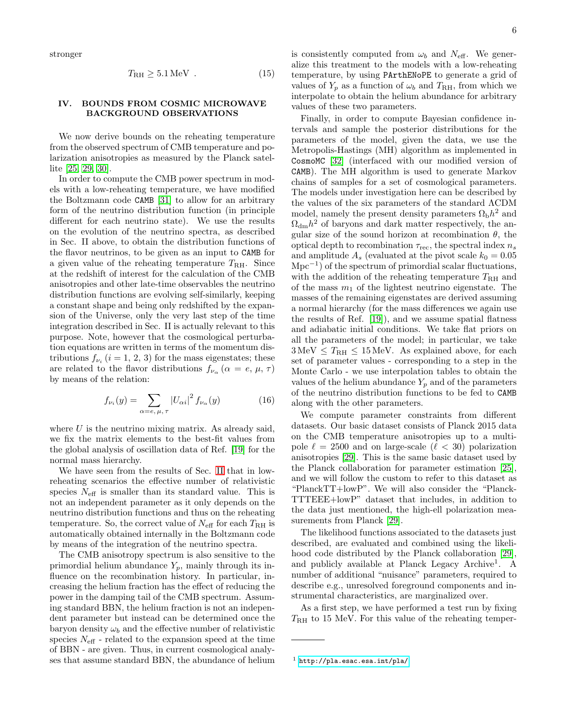stronger

$$
T_{\rm RH} \geq 5.1 \,\text{MeV} \tag{15}
$$

### <span id="page-5-0"></span>IV. BOUNDS FROM COSMIC MICROWAVE BACKGROUND OBSERVATIONS

We now derive bounds on the reheating temperature from the observed spectrum of CMB temperature and polarization anisotropies as measured by the Planck satellite [\[25,](#page-8-3) [29,](#page-8-7) [30\]](#page-8-8).

In order to compute the CMB power spectrum in models with a low-reheating temperature, we have modified the Boltzmann code CAMB [\[31\]](#page-8-9) to allow for an arbitrary form of the neutrino distribution function (in principle different for each neutrino state). We use the results on the evolution of the neutrino spectra, as described in Sec. II above, to obtain the distribution functions of the flavor neutrinos, to be given as an input to CAMB for a given value of the reheating temperature  $T_{\rm RH}$ . Since at the redshift of interest for the calculation of the CMB anisotropies and other late-time observables the neutrino distribution functions are evolving self-similarly, keeping a constant shape and being only redshifted by the expansion of the Universe, only the very last step of the time integration described in Sec. II is actually relevant to this purpose. Note, however that the cosmological perturbation equations are written in terms of the momentum distributions  $f_{\nu_i}$   $(i = 1, 2, 3)$  for the mass eigenstates; these are related to the flavor distributions  $f_{\nu_{\alpha}}$  ( $\alpha = e, \mu, \tau$ ) by means of the relation:

$$
f_{\nu_i}(y) = \sum_{\alpha = e, \,\mu, \,\tau} |U_{\alpha i}|^2 f_{\nu_\alpha}(y) \tag{16}
$$

where  $U$  is the neutrino mixing matrix. As already said, we fix the matrix elements to the best-fit values from the global analysis of oscillation data of Ref. [\[19\]](#page-7-16) for the normal mass hierarchy.

We have seen from the results of Sec. [II](#page-1-0) that in lowreheating scenarios the effective number of relativistic species  $N_{\text{eff}}$  is smaller than its standard value. This is not an independent parameter as it only depends on the neutrino distribution functions and thus on the reheating temperature. So, the correct value of  $N_{\text{eff}}$  for each  $T_{\text{RH}}$  is automatically obtained internally in the Boltzmann code by means of the integration of the neutrino spectra.

The CMB anisotropy spectrum is also sensitive to the primordial helium abundance  $Y_p$ , mainly through its influence on the recombination history. In particular, increasing the helium fraction has the effect of reducing the power in the damping tail of the CMB spectrum. Assuming standard BBN, the helium fraction is not an independent parameter but instead can be determined once the baryon density  $\omega_b$  and the effective number of relativistic species  $N_{\text{eff}}$  - related to the expansion speed at the time of BBN - are given. Thus, in current cosmological analyses that assume standard BBN, the abundance of helium is consistently computed from  $\omega_b$  and  $N_{\text{eff}}$ . We generalize this treatment to the models with a low-reheating temperature, by using PArthENoPE to generate a grid of values of  $Y_p$  as a function of  $\omega_b$  and  $T_{\rm RH}$ , from which we interpolate to obtain the helium abundance for arbitrary values of these two parameters.

Finally, in order to compute Bayesian confidence intervals and sample the posterior distributions for the parameters of the model, given the data, we use the Metropolis-Hastings (MH) algorithm as implemented in CosmoMC [\[32\]](#page-8-10) (interfaced with our modified version of CAMB). The MH algorithm is used to generate Markov chains of samples for a set of cosmological parameters. The models under investigation here can be described by the values of the six parameters of the standard ΛCDM model, namely the present density parameters  $\Omega_{\rm b}h^2$  and  $\Omega_{\text{dm}}h^2$  of baryons and dark matter respectively, the angular size of the sound horizon at recombination  $\theta$ , the optical depth to recombination  $\tau_{\text{rec}}$ , the spectral index  $n_s$ and amplitude  $A_s$  (evaluated at the pivot scale  $k_0 = 0.05$  $Mpc^{-1}$ ) of the spectrum of primordial scalar fluctuations, with the addition of the reheating temperature  $T_{\rm RH}$  and of the mass  $m_1$  of the lightest neutrino eigenstate. The masses of the remaining eigenstates are derived assuming a normal hierarchy (for the mass differences we again use the results of Ref. [\[19\]](#page-7-16)), and we assume spatial flatness and adiabatic initial conditions. We take flat priors on all the parameters of the model; in particular, we take  $3 \text{ MeV} \leq T_{\text{RH}} \leq 15 \text{ MeV}$ . As explained above, for each set of parameter values - corresponding to a step in the Monte Carlo - we use interpolation tables to obtain the values of the helium abundance  $Y_p$  and of the parameters of the neutrino distribution functions to be fed to CAMB along with the other parameters.

We compute parameter constraints from different datasets. Our basic dataset consists of Planck 2015 data on the CMB temperature anisotropies up to a multipole  $\ell = 2500$  and on large-scale  $(\ell < 30)$  polarization anisotropies [\[29\]](#page-8-7). This is the same basic dataset used by the Planck collaboration for parameter estimation [\[25\]](#page-8-3), and we will follow the custom to refer to this dataset as "PlanckTT+lowP". We will also consider the "Planck-TTTEEE+lowP" dataset that includes, in addition to the data just mentioned, the high-ell polarization measurements from Planck [\[29\]](#page-8-7).

The likelihood functions associated to the datasets just described, are evaluated and combined using the likelihood code distributed by the Planck collaboration [\[29\]](#page-8-7), and publicly available at Planck Legacy Archive<sup>1</sup>. A number of additional "nuisance" parameters, required to describe e.g., unresolved foreground components and instrumental characteristics, are marginalized over.

As a first step, we have performed a test run by fixing  $T_{\rm RH}$  to 15 MeV. For this value of the reheating temper-

 $<sup>1</sup>$  <http://pla.esac.esa.int/pla/></sup>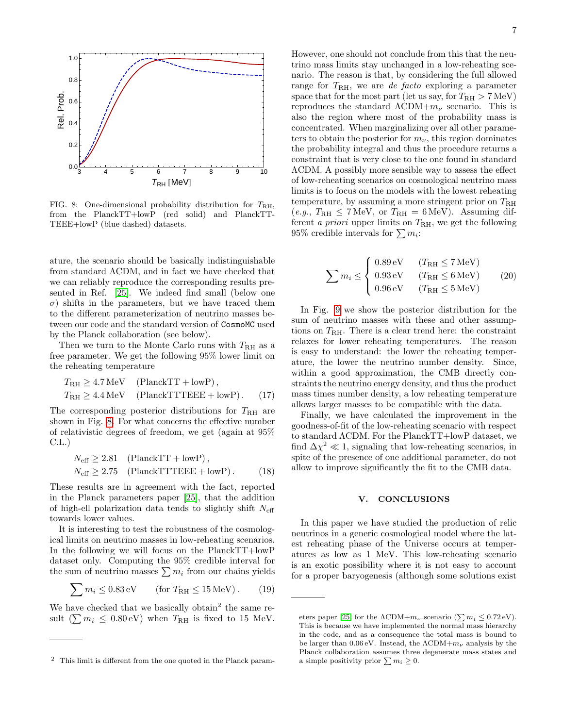![](_page_6_Figure_0.jpeg)

<span id="page-6-1"></span>FIG. 8: One-dimensional probability distribution for  $T_{\rm RH}$ , from the PlanckTT+lowP (red solid) and PlanckTT-TEEE+lowP (blue dashed) datasets.

ature, the scenario should be basically indistinguishable from standard ΛCDM, and in fact we have checked that we can reliably reproduce the corresponding results presented in Ref. [\[25\]](#page-8-3). We indeed find small (below one σ) shifts in the parameters, but we have traced them to the different parameterization of neutrino masses between our code and the standard version of CosmoMC used by the Planck collaboration (see below).

Then we turn to the Monte Carlo runs with  $T_{\rm RH}$  as a free parameter. We get the following 95% lower limit on the reheating temperature

$$
T_{\rm RH} \ge 4.7 \,\text{MeV} \quad \text{(PlanckTT + lowP)},
$$
  

$$
T_{\rm RH} \ge 4.4 \,\text{MeV} \quad \text{(PlanckTTTEEE + lowP)}.
$$
 (17)

The corresponding posterior distributions for  $T_{\rm RH}$  are shown in Fig. [8.](#page-6-1) For what concerns the effective number of relativistic degrees of freedom, we get (again at 95% C.L.)

$$
N_{\text{eff}} \ge 2.81 \quad \text{(PlanckTT + lowP)},
$$
  

$$
N_{\text{eff}} \ge 2.75 \quad \text{(PlanckTTTEEE + lowP)}.
$$
 (18)

These results are in agreement with the fact, reported in the Planck parameters paper [\[25\]](#page-8-3), that the addition of high-ell polarization data tends to slightly shift  $N_{\text{eff}}$ towards lower values.

It is interesting to test the robustness of the cosmological limits on neutrino masses in low-reheating scenarios. In the following we will focus on the PlanckTT+lowP dataset only. Computing the 95% credible interval for the sum of neutrino masses  $\sum m_i$  from our chains yields

$$
\sum m_i \le 0.83 \,\text{eV} \qquad \text{(for } T_{\text{RH}} \le 15 \,\text{MeV})\,. \tag{19}
$$

We have checked that we basically obtain<sup>2</sup> the same result  $(\sum m_i \leq 0.80 \text{ eV})$  when  $T_{\text{RH}}$  is fixed to 15 MeV.

7

However, one should not conclude from this that the neutrino mass limits stay unchanged in a low-reheating scenario. The reason is that, by considering the full allowed range for  $T_{\rm RH}$ , we are *de facto* exploring a parameter space that for the most part (let us say, for  $T_{\rm RH} > 7 \,\text{MeV}$ ) reproduces the standard  $\Lambda$ CDM+ $m_{\nu}$  scenario. This is also the region where most of the probability mass is concentrated. When marginalizing over all other parameters to obtain the posterior for  $m_{\nu}$ , this region dominates the probability integral and thus the procedure returns a constraint that is very close to the one found in standard ΛCDM. A possibly more sensible way to assess the effect of low-reheating scenarios on cosmological neutrino mass limits is to focus on the models with the lowest reheating temperature, by assuming a more stringent prior on  $T_{\rm RH}$  $(e.g., T<sub>RH</sub> \le 7 MeV, \text{ or } T<sub>RH</sub> = 6 MeV).$  Assuming different a priori upper limits on  $T_{\rm RH}$ , we get the following 95% credible intervals for  $\sum m_i$ :

$$
\sum m_i \le \begin{cases} 0.89 \,\text{eV} & (T_{\text{RH}} \le 7 \,\text{MeV}) \\ 0.93 \,\text{eV} & (T_{\text{RH}} \le 6 \,\text{MeV}) \\ 0.96 \,\text{eV} & (T_{\text{RH}} \le 5 \,\text{MeV}) \end{cases} \tag{20}
$$

In Fig. [9](#page-7-19) we show the posterior distribution for the sum of neutrino masses with these and other assumptions on  $T_{\rm RH}$ . There is a clear trend here: the constraint relaxes for lower reheating temperatures. The reason is easy to understand: the lower the reheating temperature, the lower the neutrino number density. Since, within a good approximation, the CMB directly constraints the neutrino energy density, and thus the product mass times number density, a low reheating temperature allows larger masses to be compatible with the data.

Finally, we have calculated the improvement in the goodness-of-fit of the low-reheating scenario with respect to standard ΛCDM. For the PlanckTT+lowP dataset, we find  $\Delta \chi^2 \ll 1$ , signaling that low-reheating scenarios, in spite of the presence of one additional parameter, do not allow to improve significantly the fit to the CMB data.

### <span id="page-6-0"></span>V. CONCLUSIONS

In this paper we have studied the production of relic neutrinos in a generic cosmological model where the latest reheating phase of the Universe occurs at temperatures as low as 1 MeV. This low-reheating scenario is an exotic possibility where it is not easy to account for a proper baryogenesis (although some solutions exist

<sup>2</sup> This limit is different from the one quoted in the Planck param-

eters paper [\[25\]](#page-8-3) for the  $\Lambda$ CDM+ $m_{\nu}$  scenario ( $\sum m_i \leq 0.72 \text{ eV}$ ). This is because we have implemented the normal mass hierarchy in the code, and as a consequence the total mass is bound to be larger than  $0.06 \text{ eV}$ . Instead, the  $\Lambda \text{CDM} + m_{\nu}$  analysis by the Planck collaboration assumes three degenerate mass states and a simple positivity prior  $\sum m_i \geq 0$ .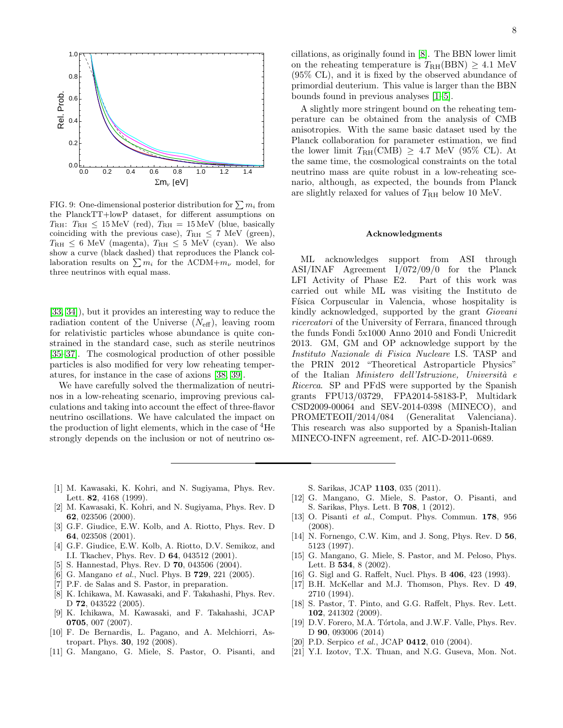![](_page_7_Figure_0.jpeg)

<span id="page-7-19"></span>FIG. 9: One-dimensional posterior distribution for  $\sum m_i$  from the PlanckTT+lowP dataset, for different assumptions on  $T_{\rm RH}: T_{\rm RH} \leq 15 \,\text{MeV}$  (red),  $T_{\rm RH} = 15 \,\text{MeV}$  (blue, basically coinciding with the previous case),  $T_{\text{RH}} \leq 7$  MeV (green),  $T_{\rm RH} \leq 6$  MeV (magenta),  $T_{\rm RH} \leq 5$  MeV (cyan). We also show a curve (black dashed) that reproduces the Planck collaboration results on  $\sum m_i$  for the  $\Lambda$ CDM+ $m_\nu$  model, for three neutrinos with equal mass.

[\[33,](#page-8-11) [34\]](#page-8-12)), but it provides an interesting way to reduce the radiation content of the Universe  $(N_{\text{eff}})$ , leaving room for relativistic particles whose abundance is quite constrained in the standard case, such as sterile neutrinos [\[35–](#page-8-13)[37\]](#page-8-14). The cosmological production of other possible particles is also modified for very low reheating temperatures, for instance in the case of axions [\[38,](#page-8-15) [39\]](#page-8-16).

We have carefully solved the thermalization of neutrinos in a low-reheating scenario, improving previous calculations and taking into account the effect of three-flavor neutrino oscillations. We have calculated the impact on the production of light elements, which in the case of  ${}^{4}$ He strongly depends on the inclusion or not of neutrino oscillations, as originally found in [\[8\]](#page-7-4). The BBN lower limit on the reheating temperature is  $T_{\text{RH}}(\text{BBN}) \geq 4.1 \text{ MeV}$ (95% CL), and it is fixed by the observed abundance of primordial deuterium. This value is larger than the BBN bounds found in previous analyses [\[1–](#page-7-0)[5\]](#page-7-1).

A slightly more stringent bound on the reheating temperature can be obtained from the analysis of CMB anisotropies. With the same basic dataset used by the Planck collaboration for parameter estimation, we find the lower limit  $T_{\text{RH}}(\text{CMB}) \geq 4.7 \text{ MeV}$  (95% CL). At the same time, the cosmological constraints on the total neutrino mass are quite robust in a low-reheating scenario, although, as expected, the bounds from Planck are slightly relaxed for values of  $T_{\rm RH}$  below 10 MeV.

#### Acknowledgments

ML acknowledges support from ASI through ASI/INAF Agreement I/072/09/0 for the Planck LFI Activity of Phase E2. Part of this work was carried out while ML was visiting the Instituto de Física Corpuscular in Valencia, whose hospitality is kindly acknowledged, supported by the grant Giovani ricercatori of the University of Ferrara, financed through the funds Fondi 5x1000 Anno 2010 and Fondi Unicredit 2013. GM, GM and OP acknowledge support by the Instituto Nazionale di Fisica Nucleare I.S. TASP and the PRIN 2012 "Theoretical Astroparticle Physics" of the Italian Ministero dell'Istruzione, Università e Ricerca. SP and PFdS were supported by the Spanish grants FPU13/03729, FPA2014-58183-P, Multidark CSD2009-00064 and SEV-2014-0398 (MINECO), and PROMETEOII/2014/084 (Generalitat Valenciana). This research was also supported by a Spanish-Italian MINECO-INFN agreement, ref. AIC-D-2011-0689.

- <span id="page-7-0"></span>[1] M. Kawasaki, K. Kohri, and N. Sugiyama, Phys. Rev. Lett. 82, 4168 (1999).
- <span id="page-7-7"></span>[2] M. Kawasaki, K. Kohri, and N. Sugiyama, Phys. Rev. D 62, 023506 (2000).
- [3] G.F. Giudice, E.W. Kolb, and A. Riotto, Phys. Rev. D 64, 023508 (2001).
- [4] G.F. Giudice, E.W. Kolb, A. Riotto, D.V. Semikoz, and I.I. Tkachev, Phys. Rev. D 64, 043512 (2001).
- <span id="page-7-1"></span>[5] S. Hannestad, Phys. Rev. D 70, 043506 (2004).
- <span id="page-7-2"></span>[6] G. Mangano et al., Nucl. Phys. B **729**, 221 (2005).
- <span id="page-7-3"></span>[7] P.F. de Salas and S. Pastor, in preparation.
- <span id="page-7-4"></span>[8] K. Ichikawa, M. Kawasaki, and F. Takahashi, Phys. Rev. D **72**, 043522 (2005).
- <span id="page-7-5"></span>[9] K. Ichikawa, M. Kawasaki, and F. Takahashi, JCAP 0705, 007 (2007).
- <span id="page-7-6"></span>[10] F. De Bernardis, L. Pagano, and A. Melchiorri, Astropart. Phys. 30, 192 (2008).
- <span id="page-7-8"></span>[11] G. Mangano, G. Miele, S. Pastor, O. Pisanti, and

S. Sarikas, JCAP 1103, 035 (2011).

- <span id="page-7-9"></span>[12] G. Mangano, G. Miele, S. Pastor, O. Pisanti, and S. Sarikas, Phys. Lett. B 708, 1 (2012).
- <span id="page-7-10"></span>[13] O. Pisanti et al., Comput. Phys. Commun. 178, 956 (2008).
- <span id="page-7-11"></span>[14] N. Fornengo, C.W. Kim, and J. Song, Phys. Rev. D 56, 5123 (1997).
- <span id="page-7-12"></span>[15] G. Mangano, G. Miele, S. Pastor, and M. Peloso, Phys. Lett. B 534, 8 (2002).
- <span id="page-7-13"></span>[16] G. Sigl and G. Raffelt, Nucl. Phys. B 406, 423 (1993).
- <span id="page-7-14"></span>[17] B.H. McKellar and M.J. Thomson, Phys. Rev. D 49, 2710 (1994).
- <span id="page-7-15"></span>[18] S. Pastor, T. Pinto, and G.G. Raffelt, Phys. Rev. Lett. 102, 241302 (2009).
- <span id="page-7-16"></span>[19] D.V. Forero, M.A. Tórtola, and J.W.F. Valle, Phys. Rev. D 90, 093006 (2014)
- <span id="page-7-17"></span>[20] P.D. Serpico et al., JCAP **0412**, 010 (2004).
- <span id="page-7-18"></span>[21] Y.I. Izotov, T.X. Thuan, and N.G. Guseva, Mon. Not.